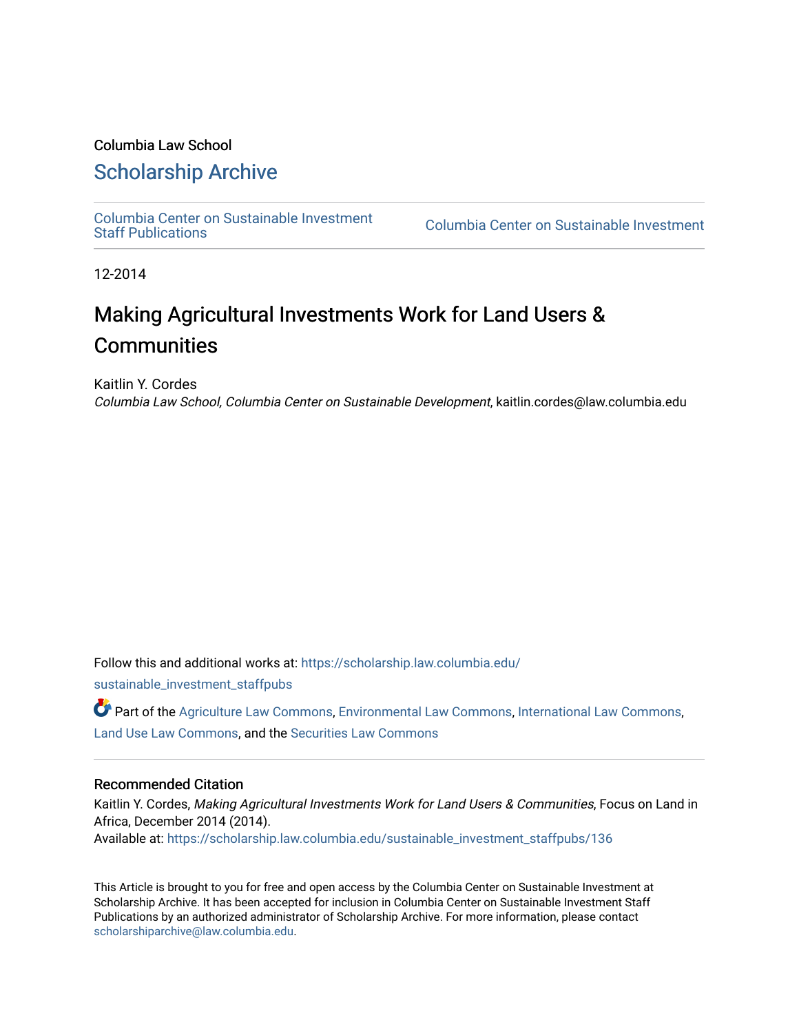### Columbia Law School

## [Scholarship Archive](https://scholarship.law.columbia.edu/)

[Columbia Center on Sustainable Investment](https://scholarship.law.columbia.edu/sustainable_investment_staffpubs) 

Columbia Center on Sustainable Investment

12-2014

# Making Agricultural Investments Work for Land Users & **Communities**

Kaitlin Y. Cordes Columbia Law School, Columbia Center on Sustainable Development, kaitlin.cordes@law.columbia.edu

Follow this and additional works at: [https://scholarship.law.columbia.edu/](https://scholarship.law.columbia.edu/sustainable_investment_staffpubs?utm_source=scholarship.law.columbia.edu%2Fsustainable_investment_staffpubs%2F136&utm_medium=PDF&utm_campaign=PDFCoverPages)

[sustainable\\_investment\\_staffpubs](https://scholarship.law.columbia.edu/sustainable_investment_staffpubs?utm_source=scholarship.law.columbia.edu%2Fsustainable_investment_staffpubs%2F136&utm_medium=PDF&utm_campaign=PDFCoverPages)

Part of the [Agriculture Law Commons](http://network.bepress.com/hgg/discipline/581?utm_source=scholarship.law.columbia.edu%2Fsustainable_investment_staffpubs%2F136&utm_medium=PDF&utm_campaign=PDFCoverPages), [Environmental Law Commons,](http://network.bepress.com/hgg/discipline/599?utm_source=scholarship.law.columbia.edu%2Fsustainable_investment_staffpubs%2F136&utm_medium=PDF&utm_campaign=PDFCoverPages) [International Law Commons](http://network.bepress.com/hgg/discipline/609?utm_source=scholarship.law.columbia.edu%2Fsustainable_investment_staffpubs%2F136&utm_medium=PDF&utm_campaign=PDFCoverPages), [Land Use Law Commons,](http://network.bepress.com/hgg/discipline/852?utm_source=scholarship.law.columbia.edu%2Fsustainable_investment_staffpubs%2F136&utm_medium=PDF&utm_campaign=PDFCoverPages) and the [Securities Law Commons](http://network.bepress.com/hgg/discipline/619?utm_source=scholarship.law.columbia.edu%2Fsustainable_investment_staffpubs%2F136&utm_medium=PDF&utm_campaign=PDFCoverPages)

#### Recommended Citation

Kaitlin Y. Cordes, Making Agricultural Investments Work for Land Users & Communities, Focus on Land in Africa, December 2014 (2014). Available at: [https://scholarship.law.columbia.edu/sustainable\\_investment\\_staffpubs/136](https://scholarship.law.columbia.edu/sustainable_investment_staffpubs/136?utm_source=scholarship.law.columbia.edu%2Fsustainable_investment_staffpubs%2F136&utm_medium=PDF&utm_campaign=PDFCoverPages) 

This Article is brought to you for free and open access by the Columbia Center on Sustainable Investment at Scholarship Archive. It has been accepted for inclusion in Columbia Center on Sustainable Investment Staff Publications by an authorized administrator of Scholarship Archive. For more information, please contact [scholarshiparchive@law.columbia.edu](mailto:scholarshiparchive@law.columbia.edu).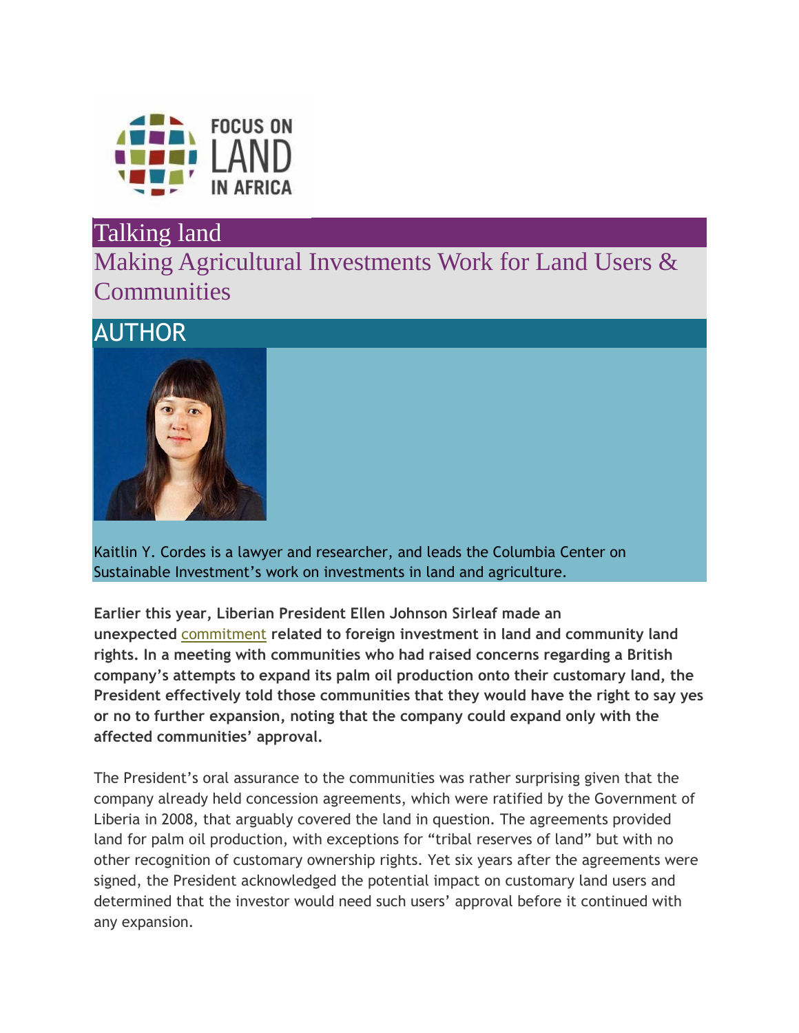

## Talking land

Making Agricultural Investments Work for Land Users & **Communities** 

# AUTHOR



Kaitlin Y. Cordes is a lawyer and researcher, and leads the Columbia Center on Sustainable Investment's work on investments in land and agriculture.

**Earlier this year, Liberian President Ellen Johnson Sirleaf made an unexpected** [commitment](http://www.globalwitness.org/library/ngos-welcome-liberian-presidents-commitment-stop-british-palm-oil-company-taking-community) **related to foreign investment in land and community land rights. In a meeting with communities who had raised concerns regarding a British company's attempts to expand its palm oil production onto their customary land, the President effectively told those communities that they would have the right to say yes or no to further expansion, noting that the company could expand only with the affected communities' approval.**

The President's oral assurance to the communities was rather surprising given that the company already held concession agreements, which were ratified by the Government of Liberia in 2008, that arguably covered the land in question. The agreements provided land for palm oil production, with exceptions for "tribal reserves of land" but with no other recognition of customary ownership rights. Yet six years after the agreements were signed, the President acknowledged the potential impact on customary land users and determined that the investor would need such users' approval before it continued with any expansion.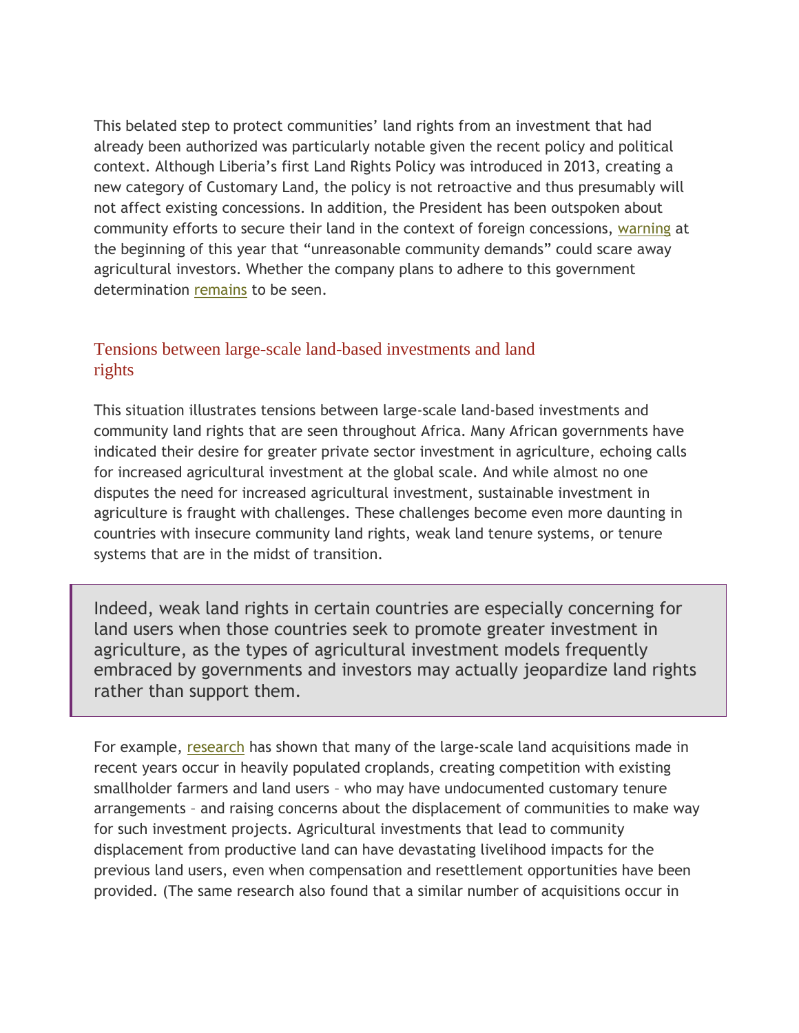This belated step to protect communities' land rights from an investment that had already been authorized was particularly notable given the recent policy and political context. Although Liberia's first Land Rights Policy was introduced in 2013, creating a new category of Customary Land, the policy is not retroactive and thus presumably will not affect existing concessions. In addition, the President has been outspoken about community efforts to secure their land in the context of foreign concessions, [warning](http://frontpageafricaonline.com/index.php/politic/518-consolidating-processes-of-transformation-sirleaf-s-9th-state-of-nation-address) at the beginning of this year that "unreasonable community demands" could scare away agricultural investors. Whether the company plans to adhere to this government determination [remains](http://allafrica.com/stories/201406250639.html) to be seen.

### Tensions between large-scale land-based investments and land rights

This situation illustrates tensions between large-scale land-based investments and community land rights that are seen throughout Africa. Many African governments have indicated their desire for greater private sector investment in agriculture, echoing calls for increased agricultural investment at the global scale. And while almost no one disputes the need for increased agricultural investment, sustainable investment in agriculture is fraught with challenges. These challenges become even more daunting in countries with insecure community land rights, weak land tenure systems, or tenure systems that are in the midst of transition.

Indeed, weak land rights in certain countries are especially concerning for land users when those countries seek to promote greater investment in agriculture, as the types of agricultural investment models frequently embraced by governments and investors may actually jeopardize land rights rather than support them.

For example, [research](http://www.cde.unibe.ch/Pages/Publication/2600/The-geography-of-large-scale-land-acquisitions-Analysing-socio-ecological-patterns-of-target-contexts-in-the-global-South.aspx) has shown that many of the large-scale land acquisitions made in recent years occur in heavily populated croplands, creating competition with existing smallholder farmers and land users – who may have undocumented customary tenure arrangements – and raising concerns about the displacement of communities to make way for such investment projects. Agricultural investments that lead to community displacement from productive land can have devastating livelihood impacts for the previous land users, even when compensation and resettlement opportunities have been provided. (The same research also found that a similar number of acquisitions occur in